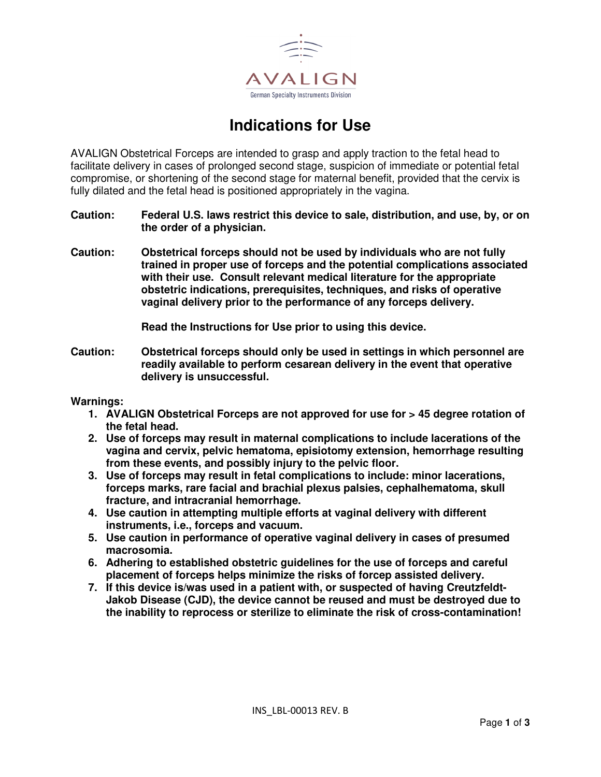

# **Indications for Use**

AVALIGN Obstetrical Forceps are intended to grasp and apply traction to the fetal head to facilitate delivery in cases of prolonged second stage, suspicion of immediate or potential fetal compromise, or shortening of the second stage for maternal benefit, provided that the cervix is fully dilated and the fetal head is positioned appropriately in the vagina.

- **Caution: Federal U.S. laws restrict this device to sale, distribution, and use, by, or on the order of a physician.**
- **Caution: Obstetrical forceps should not be used by individuals who are not fully trained in proper use of forceps and the potential complications associated with their use. Consult relevant medical literature for the appropriate obstetric indications, prerequisites, techniques, and risks of operative vaginal delivery prior to the performance of any forceps delivery.**

**Read the Instructions for Use prior to using this device.** 

**Caution: Obstetrical forceps should only be used in settings in which personnel are readily available to perform cesarean delivery in the event that operative delivery is unsuccessful.** 

#### **Warnings:**

- **1. AVALIGN Obstetrical Forceps are not approved for use for > 45 degree rotation of the fetal head.**
- **2. Use of forceps may result in maternal complications to include lacerations of the vagina and cervix, pelvic hematoma, episiotomy extension, hemorrhage resulting from these events, and possibly injury to the pelvic floor.**
- **3. Use of forceps may result in fetal complications to include: minor lacerations, forceps marks, rare facial and brachial plexus palsies, cephalhematoma, skull fracture, and intracranial hemorrhage.**
- **4. Use caution in attempting multiple efforts at vaginal delivery with different instruments, i.e., forceps and vacuum.**
- **5. Use caution in performance of operative vaginal delivery in cases of presumed macrosomia.**
- **6. Adhering to established obstetric guidelines for the use of forceps and careful placement of forceps helps minimize the risks of forcep assisted delivery.**
- **7. If this device is/was used in a patient with, or suspected of having Creutzfeldt-Jakob Disease (CJD), the device cannot be reused and must be destroyed due to the inability to reprocess or sterilize to eliminate the risk of cross-contamination!**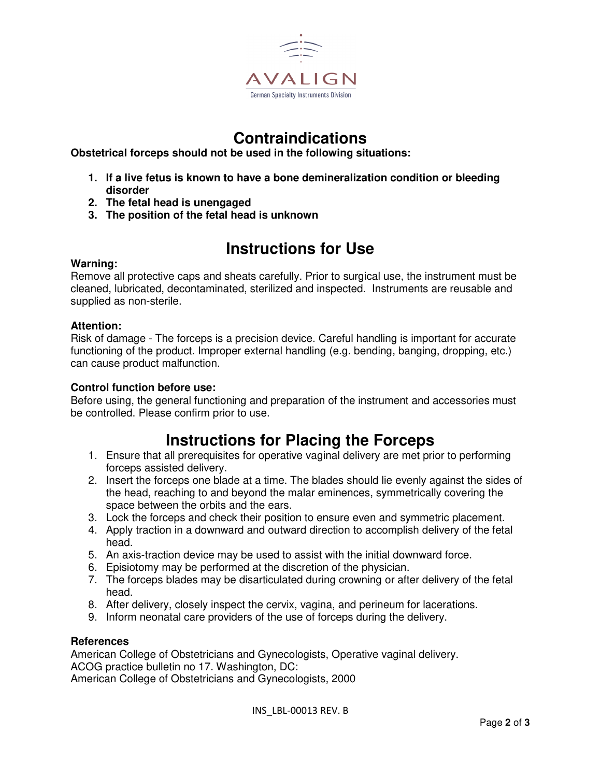

## **Contraindications**

**Obstetrical forceps should not be used in the following situations:** 

- **1. If a live fetus is known to have a bone demineralization condition or bleeding disorder**
- **2. The fetal head is unengaged**
- **3. The position of the fetal head is unknown**

# **Instructions for Use**

### **Warning:**

Remove all protective caps and sheats carefully. Prior to surgical use, the instrument must be cleaned, lubricated, decontaminated, sterilized and inspected. Instruments are reusable and supplied as non-sterile.

### **Attention:**

Risk of damage - The forceps is a precision device. Careful handling is important for accurate functioning of the product. Improper external handling (e.g. bending, banging, dropping, etc.) can cause product malfunction.

### **Control function before use:**

Before using, the general functioning and preparation of the instrument and accessories must be controlled. Please confirm prior to use.

### **Instructions for Placing the Forceps**

- 1. Ensure that all prerequisites for operative vaginal delivery are met prior to performing forceps assisted delivery.
- 2. Insert the forceps one blade at a time. The blades should lie evenly against the sides of the head, reaching to and beyond the malar eminences, symmetrically covering the space between the orbits and the ears.
- 3. Lock the forceps and check their position to ensure even and symmetric placement.
- 4. Apply traction in a downward and outward direction to accomplish delivery of the fetal head.
- 5. An axis-traction device may be used to assist with the initial downward force.
- 6. Episiotomy may be performed at the discretion of the physician.
- 7. The forceps blades may be disarticulated during crowning or after delivery of the fetal head.
- 8. After delivery, closely inspect the cervix, vagina, and perineum for lacerations.
- 9. Inform neonatal care providers of the use of forceps during the delivery.

#### **References**

American College of Obstetricians and Gynecologists, Operative vaginal delivery. ACOG practice bulletin no 17. Washington, DC: American College of Obstetricians and Gynecologists, 2000

INS\_LBL-00013 REV. B